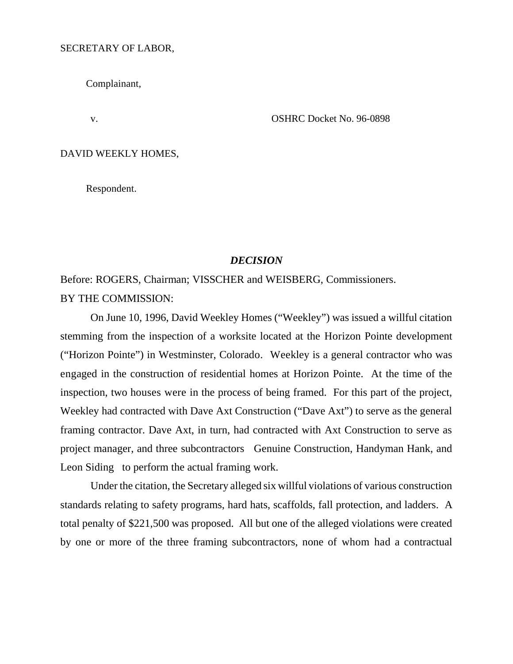#### SECRETARY OF LABOR,

Complainant,

v. OSHRC Docket No. 96-0898

#### DAVID WEEKLY HOMES,

Respondent.

### *DECISION*

Before: ROGERS, Chairman; VISSCHER and WEISBERG, Commissioners. BY THE COMMISSION:

On June 10, 1996, David Weekley Homes ("Weekley") was issued a willful citation stemming from the inspection of a worksite located at the Horizon Pointe development ("Horizon Pointe") in Westminster, Colorado. Weekley is a general contractor who was engaged in the construction of residential homes at Horizon Pointe. At the time of the inspection, two houses were in the process of being framed. For this part of the project, Weekley had contracted with Dave Axt Construction ("Dave Axt") to serve as the general framing contractor. Dave Axt, in turn, had contracted with Axt Construction to serve as project manager, and three subcontractors Genuine Construction, Handyman Hank, and Leon Siding to perform the actual framing work.

Under the citation, the Secretary alleged six willful violations of various construction standards relating to safety programs, hard hats, scaffolds, fall protection, and ladders. A total penalty of \$221,500 was proposed. All but one of the alleged violations were created by one or more of the three framing subcontractors, none of whom had a contractual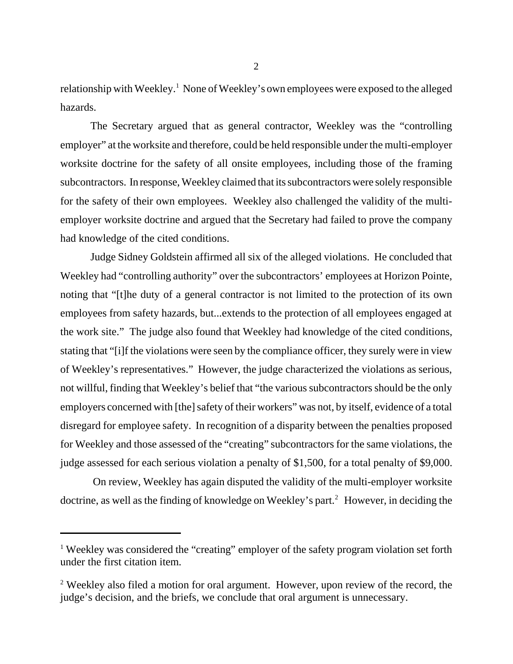relationship with Weekley.<sup>1</sup> None of Weekley's own employees were exposed to the alleged hazards.

The Secretary argued that as general contractor, Weekley was the "controlling employer" at the worksite and therefore, could be held responsible under the multi-employer worksite doctrine for the safety of all onsite employees, including those of the framing subcontractors. In response, Weekley claimed that its subcontractors were solely responsible for the safety of their own employees. Weekley also challenged the validity of the multiemployer worksite doctrine and argued that the Secretary had failed to prove the company had knowledge of the cited conditions.

Judge Sidney Goldstein affirmed all six of the alleged violations. He concluded that Weekley had "controlling authority" over the subcontractors' employees at Horizon Pointe, noting that "[t]he duty of a general contractor is not limited to the protection of its own employees from safety hazards, but...extends to the protection of all employees engaged at the work site." The judge also found that Weekley had knowledge of the cited conditions, stating that "[i]f the violations were seen by the compliance officer, they surely were in view of Weekley's representatives." However, the judge characterized the violations as serious, not willful, finding that Weekley's belief that "the various subcontractors should be the only employers concerned with [the] safety of their workers" was not, by itself, evidence of a total disregard for employee safety. In recognition of a disparity between the penalties proposed for Weekley and those assessed of the "creating" subcontractors for the same violations, the judge assessed for each serious violation a penalty of \$1,500, for a total penalty of \$9,000.

 On review, Weekley has again disputed the validity of the multi-employer worksite doctrine, as well as the finding of knowledge on Weekley's part.<sup>2</sup> However, in deciding the

<sup>&</sup>lt;sup>1</sup> Weekley was considered the "creating" employer of the safety program violation set forth under the first citation item.

<sup>&</sup>lt;sup>2</sup> Weekley also filed a motion for oral argument. However, upon review of the record, the judge's decision, and the briefs, we conclude that oral argument is unnecessary.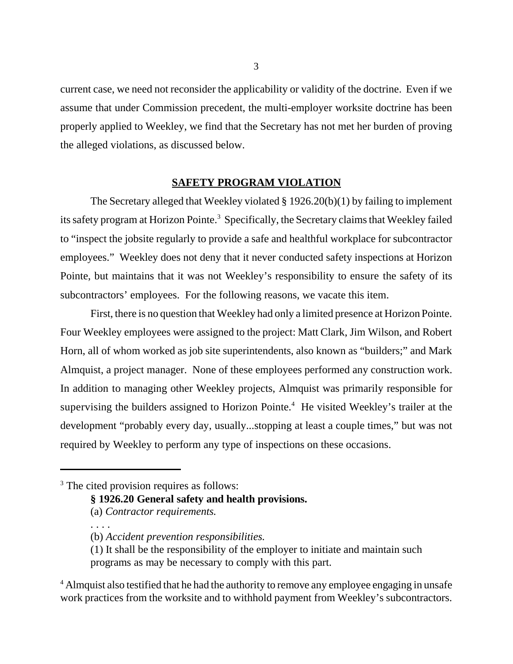current case, we need not reconsider the applicability or validity of the doctrine. Even if we assume that under Commission precedent, the multi-employer worksite doctrine has been properly applied to Weekley, we find that the Secretary has not met her burden of proving the alleged violations, as discussed below.

### **SAFETY PROGRAM VIOLATION**

The Secretary alleged that Weekley violated § 1926.20(b)(1) by failing to implement its safety program at Horizon Pointe.<sup>3</sup> Specifically, the Secretary claims that Weekley failed to "inspect the jobsite regularly to provide a safe and healthful workplace for subcontractor employees." Weekley does not deny that it never conducted safety inspections at Horizon Pointe, but maintains that it was not Weekley's responsibility to ensure the safety of its subcontractors' employees. For the following reasons, we vacate this item.

First, there is no question that Weekley had only a limited presence at Horizon Pointe. Four Weekley employees were assigned to the project: Matt Clark, Jim Wilson, and Robert Horn, all of whom worked as job site superintendents, also known as "builders;" and Mark Almquist, a project manager. None of these employees performed any construction work. In addition to managing other Weekley projects, Almquist was primarily responsible for supervising the builders assigned to Horizon Pointe.<sup>4</sup> He visited Weekley's trailer at the development "probably every day, usually...stopping at least a couple times," but was not required by Weekley to perform any type of inspections on these occasions.

**§ 1926.20 General safety and health provisions.**

(a) *Contractor requirements.*

. . . .

<sup>&</sup>lt;sup>3</sup> The cited provision requires as follows:

<sup>(</sup>b) *Accident prevention responsibilities.*

<sup>(1)</sup> It shall be the responsibility of the employer to initiate and maintain such programs as may be necessary to comply with this part.

<sup>&</sup>lt;sup>4</sup> Almquist also testified that he had the authority to remove any employee engaging in unsafe work practices from the worksite and to withhold payment from Weekley's subcontractors.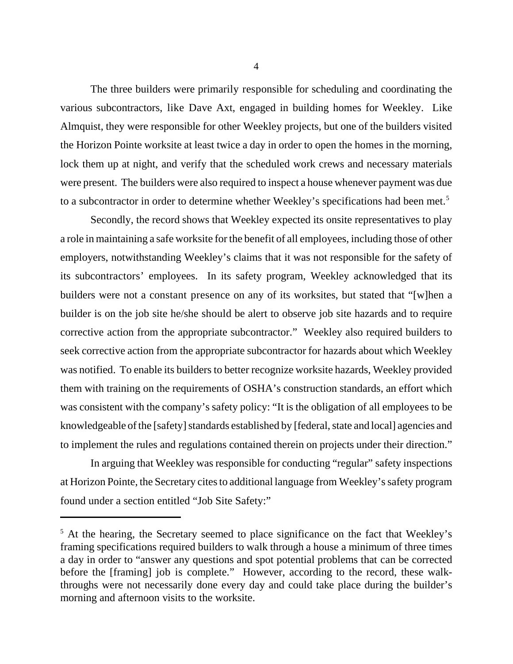The three builders were primarily responsible for scheduling and coordinating the various subcontractors, like Dave Axt, engaged in building homes for Weekley. Like Almquist, they were responsible for other Weekley projects, but one of the builders visited the Horizon Pointe worksite at least twice a day in order to open the homes in the morning, lock them up at night, and verify that the scheduled work crews and necessary materials were present. The builders were also required to inspect a house whenever payment was due to a subcontractor in order to determine whether Weekley's specifications had been met.<sup>5</sup>

Secondly, the record shows that Weekley expected its onsite representatives to play a role in maintaining a safe worksite for the benefit of all employees, including those of other employers, notwithstanding Weekley's claims that it was not responsible for the safety of its subcontractors' employees. In its safety program, Weekley acknowledged that its builders were not a constant presence on any of its worksites, but stated that "[w]hen a builder is on the job site he/she should be alert to observe job site hazards and to require corrective action from the appropriate subcontractor." Weekley also required builders to seek corrective action from the appropriate subcontractor for hazards about which Weekley was notified. To enable its builders to better recognize worksite hazards, Weekley provided them with training on the requirements of OSHA's construction standards, an effort which was consistent with the company's safety policy: "It is the obligation of all employees to be knowledgeable of the [safety] standards established by [federal, state and local] agencies and to implement the rules and regulations contained therein on projects under their direction."

In arguing that Weekley was responsible for conducting "regular" safety inspections at Horizon Pointe, the Secretary cites to additional language from Weekley's safety program found under a section entitled "Job Site Safety:"

<sup>&</sup>lt;sup>5</sup> At the hearing, the Secretary seemed to place significance on the fact that Weekley's framing specifications required builders to walk through a house a minimum of three times a day in order to "answer any questions and spot potential problems that can be corrected before the [framing] job is complete." However, according to the record, these walkthroughs were not necessarily done every day and could take place during the builder's morning and afternoon visits to the worksite.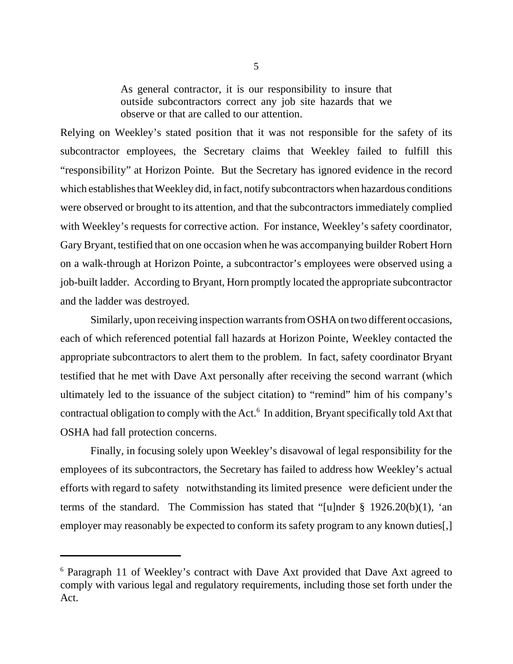As general contractor, it is our responsibility to insure that outside subcontractors correct any job site hazards that we observe or that are called to our attention.

Relying on Weekley's stated position that it was not responsible for the safety of its subcontractor employees, the Secretary claims that Weekley failed to fulfill this "responsibility" at Horizon Pointe. But the Secretary has ignored evidence in the record which establishes that Weekley did, in fact, notify subcontractors when hazardous conditions were observed or brought to its attention, and that the subcontractors immediately complied with Weekley's requests for corrective action. For instance, Weekley's safety coordinator, Gary Bryant, testified that on one occasion when he was accompanying builder Robert Horn on a walk-through at Horizon Pointe, a subcontractor's employees were observed using a job-built ladder. According to Bryant, Horn promptly located the appropriate subcontractor and the ladder was destroyed.

Similarly, upon receiving inspection warrants from OSHA on two different occasions, each of which referenced potential fall hazards at Horizon Pointe, Weekley contacted the appropriate subcontractors to alert them to the problem. In fact, safety coordinator Bryant testified that he met with Dave Axt personally after receiving the second warrant (which ultimately led to the issuance of the subject citation) to "remind" him of his company's contractual obligation to comply with the Act.<sup>6</sup> In addition, Bryant specifically told Axt that OSHA had fall protection concerns.

Finally, in focusing solely upon Weekley's disavowal of legal responsibility for the employees of its subcontractors, the Secretary has failed to address how Weekley's actual efforts with regard to safety notwithstanding its limited presence were deficient under the terms of the standard. The Commission has stated that "[u]nder § 1926.20(b)(1), 'an employer may reasonably be expected to conform its safety program to any known duties.

<sup>&</sup>lt;sup>6</sup> Paragraph 11 of Weekley's contract with Dave Axt provided that Dave Axt agreed to comply with various legal and regulatory requirements, including those set forth under the Act.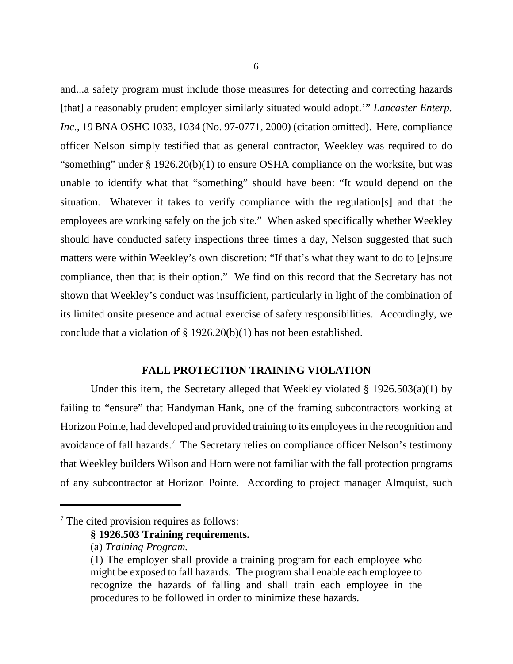and...a safety program must include those measures for detecting and correcting hazards [that] a reasonably prudent employer similarly situated would adopt.'" *Lancaster Enterp. Inc.*, 19 BNA OSHC 1033, 1034 (No. 97-0771, 2000) (citation omitted). Here, compliance officer Nelson simply testified that as general contractor, Weekley was required to do "something" under § 1926.20(b)(1) to ensure OSHA compliance on the worksite, but was unable to identify what that "something" should have been: "It would depend on the situation. Whatever it takes to verify compliance with the regulation[s] and that the employees are working safely on the job site." When asked specifically whether Weekley should have conducted safety inspections three times a day, Nelson suggested that such matters were within Weekley's own discretion: "If that's what they want to do to [e]nsure compliance, then that is their option." We find on this record that the Secretary has not shown that Weekley's conduct was insufficient, particularly in light of the combination of its limited onsite presence and actual exercise of safety responsibilities. Accordingly, we conclude that a violation of § 1926.20(b)(1) has not been established.

### **FALL PROTECTION TRAINING VIOLATION**

Under this item, the Secretary alleged that Weekley violated § 1926.503(a)(1) by failing to "ensure" that Handyman Hank, one of the framing subcontractors working at Horizon Pointe, had developed and provided training to its employees in the recognition and avoidance of fall hazards.<sup>7</sup> The Secretary relies on compliance officer Nelson's testimony that Weekley builders Wilson and Horn were not familiar with the fall protection programs of any subcontractor at Horizon Pointe. According to project manager Almquist, such

<sup>&</sup>lt;sup>7</sup> The cited provision requires as follows:

**<sup>§ 1926.503</sup> Training requirements.**

<sup>(</sup>a) *Training Program.*

<sup>(1)</sup> The employer shall provide a training program for each employee who might be exposed to fall hazards. The program shall enable each employee to recognize the hazards of falling and shall train each employee in the procedures to be followed in order to minimize these hazards.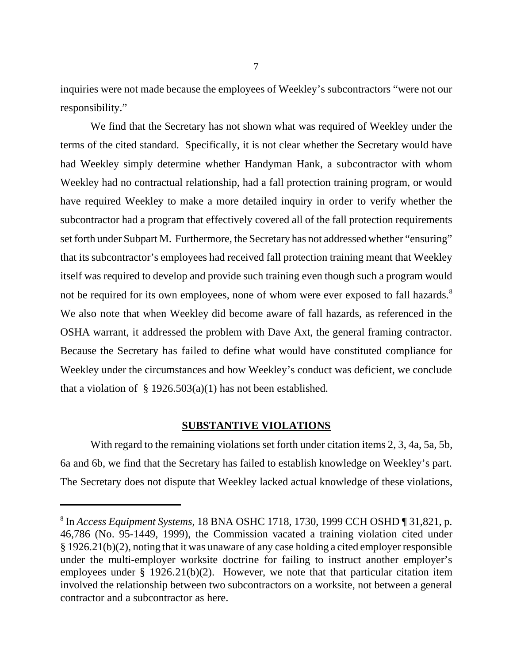inquiries were not made because the employees of Weekley's subcontractors "were not our responsibility."

We find that the Secretary has not shown what was required of Weekley under the terms of the cited standard. Specifically, it is not clear whether the Secretary would have had Weekley simply determine whether Handyman Hank, a subcontractor with whom Weekley had no contractual relationship, had a fall protection training program, or would have required Weekley to make a more detailed inquiry in order to verify whether the subcontractor had a program that effectively covered all of the fall protection requirements set forth under Subpart M. Furthermore, the Secretary has not addressed whether "ensuring" that its subcontractor's employees had received fall protection training meant that Weekley itself was required to develop and provide such training even though such a program would not be required for its own employees, none of whom were ever exposed to fall hazards.<sup>8</sup> We also note that when Weekley did become aware of fall hazards, as referenced in the OSHA warrant, it addressed the problem with Dave Axt, the general framing contractor. Because the Secretary has failed to define what would have constituted compliance for Weekley under the circumstances and how Weekley's conduct was deficient, we conclude that a violation of  $\S$  1926.503(a)(1) has not been established.

#### **SUBSTANTIVE VIOLATIONS**

With regard to the remaining violations set forth under citation items 2, 3, 4a, 5a, 5b, 6a and 6b, we find that the Secretary has failed to establish knowledge on Weekley's part. The Secretary does not dispute that Weekley lacked actual knowledge of these violations,

<sup>8</sup> In *Access Equipment Systems*, 18 BNA OSHC 1718, 1730, 1999 CCH OSHD ¶ 31,821, p. 46,786 (No. 95-1449, 1999), the Commission vacated a training violation cited under § 1926.21(b)(2), noting that it was unaware of any case holding a cited employer responsible under the multi-employer worksite doctrine for failing to instruct another employer's employees under § 1926.21(b)(2). However, we note that that particular citation item involved the relationship between two subcontractors on a worksite, not between a general contractor and a subcontractor as here.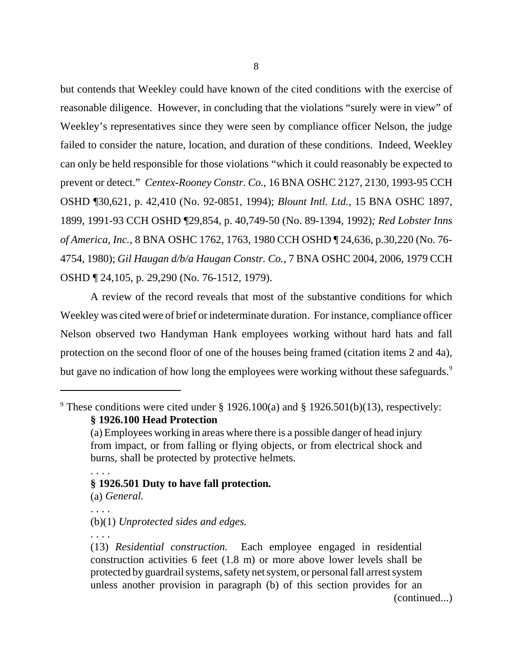but contends that Weekley could have known of the cited conditions with the exercise of reasonable diligence. However, in concluding that the violations "surely were in view" of Weekley's representatives since they were seen by compliance officer Nelson, the judge failed to consider the nature, location, and duration of these conditions. Indeed, Weekley can only be held responsible for those violations "which it could reasonably be expected to prevent or detect." *Centex-Rooney Constr. Co.*, 16 BNA OSHC 2127, 2130, 1993-95 CCH OSHD ¶30,621, p. 42,410 (No. 92-0851, 1994); *Blount Intl. Ltd.*, 15 BNA OSHC 1897, 1899, 1991-93 CCH OSHD ¶29,854, p. 40,749-50 (No. 89-1394, 1992)*; Red Lobster Inns of America, Inc.*, 8 BNA OSHC 1762, 1763, 1980 CCH OSHD ¶ 24,636, p.30,220 (No. 76- 4754, 1980); *Gil Haugan d/b/a Haugan Constr. Co.*, 7 BNA OSHC 2004, 2006, 1979 CCH OSHD ¶ 24,105, p. 29,290 (No. 76-1512, 1979).

A review of the record reveals that most of the substantive conditions for which Weekley was cited were of brief or indeterminate duration. For instance, compliance officer Nelson observed two Handyman Hank employees working without hard hats and fall protection on the second floor of one of the houses being framed (citation items 2 and 4a), but gave no indication of how long the employees were working without these safeguards.<sup>9</sup>

# **§ 1926.501 Duty to have fall protection.**

. . . .

. . . .

(b)(1) *Unprotected sides and edges.*

. . . .

(continued...)

<sup>&</sup>lt;sup>9</sup> These conditions were cited under § 1926.100(a) and § 1926.501(b)(13), respectively: **§ 1926.100 Head Protection**

<sup>(</sup>a) Employees working in areas where there is a possible danger of head injury from impact, or from falling or flying objects, or from electrical shock and burns, shall be protected by protective helmets.

<sup>(</sup>a) *General.*

<sup>(13)</sup> *Residential construction.* Each employee engaged in residential construction activities 6 feet (1.8 m) or more above lower levels shall be protected by guardrail systems, safety net system, or personal fall arrest system unless another provision in paragraph (b) of this section provides for an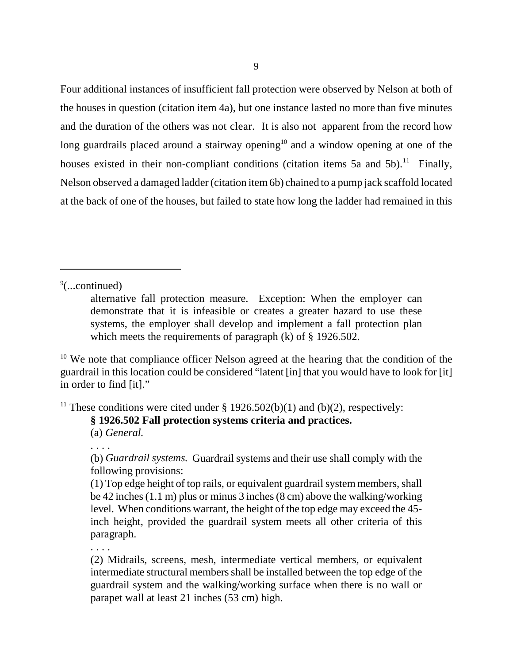Four additional instances of insufficient fall protection were observed by Nelson at both of the houses in question (citation item 4a), but one instance lasted no more than five minutes and the duration of the others was not clear. It is also not apparent from the record how long guardrails placed around a stairway opening<sup>10</sup> and a window opening at one of the houses existed in their non-compliant conditions (citation items 5a and 5b).<sup>11</sup> Finally, Nelson observed a damaged ladder (citation item 6b) chained to a pump jack scaffold located at the back of one of the houses, but failed to state how long the ladder had remained in this

9 (...continued)

<sup>10</sup> We note that compliance officer Nelson agreed at the hearing that the condition of the guardrail in this location could be considered "latent [in] that you would have to look for [it] in order to find [it]."

<sup>11</sup> These conditions were cited under § 1926.502(b)(1) and (b)(2), respectively:

**§ 1926.502 Fall protection systems criteria and practices.**

(a) *General.*

. . . .

(b) *Guardrail systems.* Guardrail systems and their use shall comply with the following provisions:

(1) Top edge height of top rails, or equivalent guardrail system members, shall be 42 inches (1.1 m) plus or minus 3 inches (8 cm) above the walking/working level. When conditions warrant, the height of the top edge may exceed the 45 inch height, provided the guardrail system meets all other criteria of this paragraph.

. . . .

(2) Midrails, screens, mesh, intermediate vertical members, or equivalent intermediate structural members shall be installed between the top edge of the guardrail system and the walking/working surface when there is no wall or parapet wall at least 21 inches (53 cm) high.

alternative fall protection measure. Exception: When the employer can demonstrate that it is infeasible or creates a greater hazard to use these systems, the employer shall develop and implement a fall protection plan which meets the requirements of paragraph (k) of § 1926.502.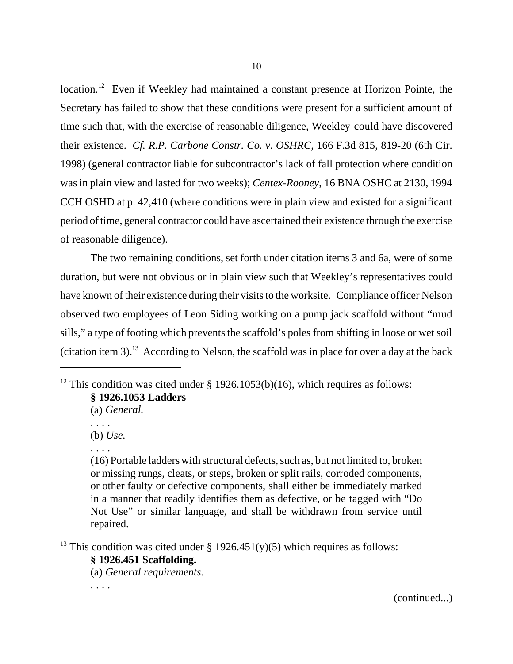location.<sup>12</sup> Even if Weekley had maintained a constant presence at Horizon Pointe, the Secretary has failed to show that these conditions were present for a sufficient amount of time such that, with the exercise of reasonable diligence, Weekley could have discovered their existence. *Cf. R.P. Carbone Constr. Co. v. OSHRC*, 166 F.3d 815, 819-20 (6th Cir. 1998) (general contractor liable for subcontractor's lack of fall protection where condition was in plain view and lasted for two weeks); *Centex-Rooney*, 16 BNA OSHC at 2130, 1994 CCH OSHD at p. 42,410 (where conditions were in plain view and existed for a significant period of time, general contractor could have ascertained their existence through the exercise of reasonable diligence).

The two remaining conditions, set forth under citation items 3 and 6a, were of some duration, but were not obvious or in plain view such that Weekley's representatives could have known of their existence during their visits to the worksite. Compliance officer Nelson observed two employees of Leon Siding working on a pump jack scaffold without "mud sills," a type of footing which prevents the scaffold's poles from shifting in loose or wet soil (citation item 3).<sup>13</sup> According to Nelson, the scaffold was in place for over a day at the back

# **§ 1926.1053 Ladders**

- (a) *General.*
- . . . . (b) *Use.*
- . . . .

(16) Portable ladders with structural defects, such as, but not limited to, broken or missing rungs, cleats, or steps, broken or split rails, corroded components, or other faulty or defective components, shall either be immediately marked in a manner that readily identifies them as defective, or be tagged with "Do Not Use" or similar language, and shall be withdrawn from service until repaired.

<sup>13</sup> This condition was cited under § 1926.451(y)(5) which requires as follows:

**§ 1926.451 Scaffolding.**

(a) *General requirements.*

. . . .

(continued...)

<sup>&</sup>lt;sup>12</sup> This condition was cited under § 1926.1053(b)(16), which requires as follows: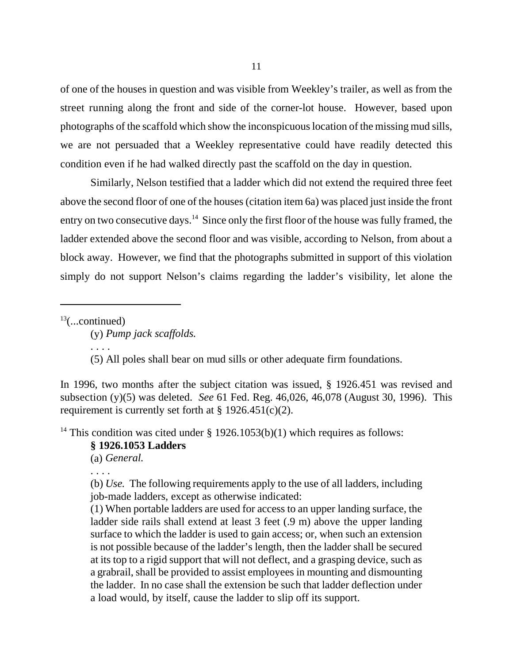of one of the houses in question and was visible from Weekley's trailer, as well as from the street running along the front and side of the corner-lot house. However, based upon photographs of the scaffold which show the inconspicuous location of the missing mud sills, we are not persuaded that a Weekley representative could have readily detected this condition even if he had walked directly past the scaffold on the day in question.

Similarly, Nelson testified that a ladder which did not extend the required three feet above the second floor of one of the houses (citation item 6a) was placed just inside the front entry on two consecutive days.<sup>14</sup> Since only the first floor of the house was fully framed, the ladder extended above the second floor and was visible, according to Nelson, from about a block away. However, we find that the photographs submitted in support of this violation simply do not support Nelson's claims regarding the ladder's visibility, let alone the

 $13$ (...continued)

. . . .

(y) *Pump jack scaffolds.*

(5) All poles shall bear on mud sills or other adequate firm foundations.

In 1996, two months after the subject citation was issued, § 1926.451 was revised and subsection (y)(5) was deleted. *See* 61 Fed. Reg. 46,026, 46,078 (August 30, 1996). This requirement is currently set forth at  $\S 1926.451(c)(2)$ .

<sup>14</sup> This condition was cited under § 1926.1053(b)(1) which requires as follows:

#### **§ 1926.1053 Ladders**

(a) *General.*

. . . .

(b) *Use.* The following requirements apply to the use of all ladders, including job-made ladders, except as otherwise indicated:

(1) When portable ladders are used for access to an upper landing surface, the ladder side rails shall extend at least 3 feet (.9 m) above the upper landing surface to which the ladder is used to gain access; or, when such an extension is not possible because of the ladder's length, then the ladder shall be secured at its top to a rigid support that will not deflect, and a grasping device, such as a grabrail, shall be provided to assist employees in mounting and dismounting the ladder. In no case shall the extension be such that ladder deflection under a load would, by itself, cause the ladder to slip off its support.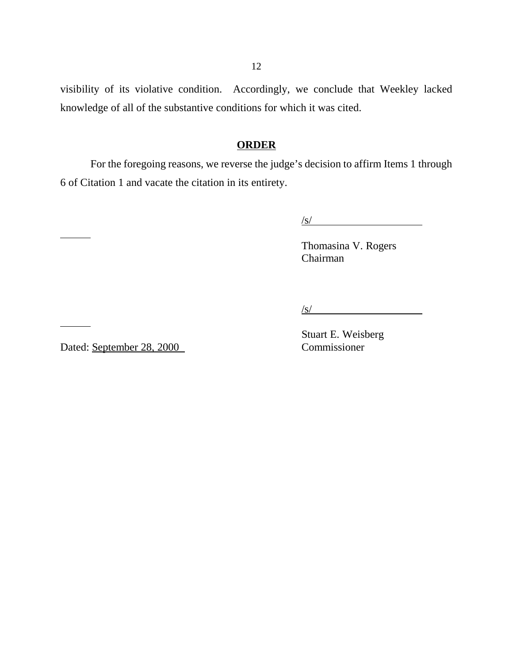visibility of its violative condition. Accordingly, we conclude that Weekley lacked knowledge of all of the substantive conditions for which it was cited.

## **ORDER**

For the foregoing reasons, we reverse the judge's decision to affirm Items 1 through 6 of Citation 1 and vacate the citation in its entirety.

 $\sqrt{s}$ /

Thomasina V. Rogers Chairman

 $\sqrt{s}$ /s/

Dated: September 28, 2000

Stuart E. Weisberg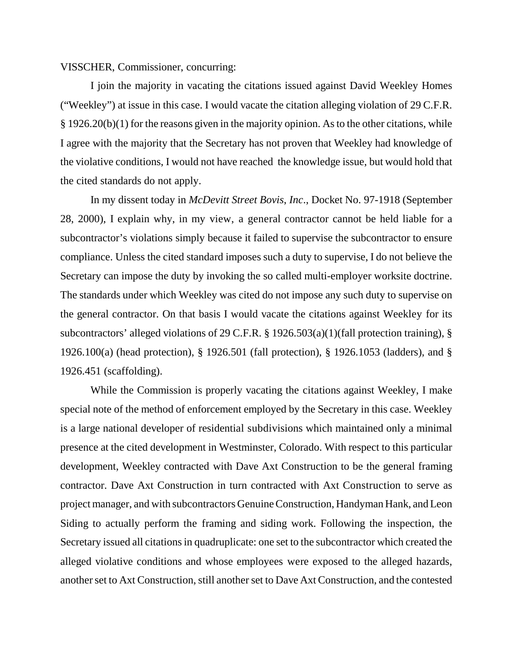#### VISSCHER, Commissioner, concurring:

I join the majority in vacating the citations issued against David Weekley Homes ("Weekley") at issue in this case. I would vacate the citation alleging violation of 29 C.F.R. § 1926.20(b)(1) for the reasons given in the majority opinion. As to the other citations, while I agree with the majority that the Secretary has not proven that Weekley had knowledge of the violative conditions, I would not have reached the knowledge issue, but would hold that the cited standards do not apply.

In my dissent today in *McDevitt Street Bovis*, *Inc*., Docket No. 97-1918 (September 28, 2000), I explain why, in my view, a general contractor cannot be held liable for a subcontractor's violations simply because it failed to supervise the subcontractor to ensure compliance. Unless the cited standard imposes such a duty to supervise, I do not believe the Secretary can impose the duty by invoking the so called multi-employer worksite doctrine. The standards under which Weekley was cited do not impose any such duty to supervise on the general contractor. On that basis I would vacate the citations against Weekley for its subcontractors' alleged violations of 29 C.F.R. § 1926.503(a)(1)(fall protection training), § 1926.100(a) (head protection), § 1926.501 (fall protection), § 1926.1053 (ladders), and § 1926.451 (scaffolding).

While the Commission is properly vacating the citations against Weekley, I make special note of the method of enforcement employed by the Secretary in this case. Weekley is a large national developer of residential subdivisions which maintained only a minimal presence at the cited development in Westminster, Colorado. With respect to this particular development, Weekley contracted with Dave Axt Construction to be the general framing contractor. Dave Axt Construction in turn contracted with Axt Construction to serve as project manager, and with subcontractors Genuine Construction, Handyman Hank, and Leon Siding to actually perform the framing and siding work. Following the inspection, the Secretary issued all citations in quadruplicate: one set to the subcontractor which created the alleged violative conditions and whose employees were exposed to the alleged hazards, another set to Axt Construction, still another set to Dave Axt Construction, and the contested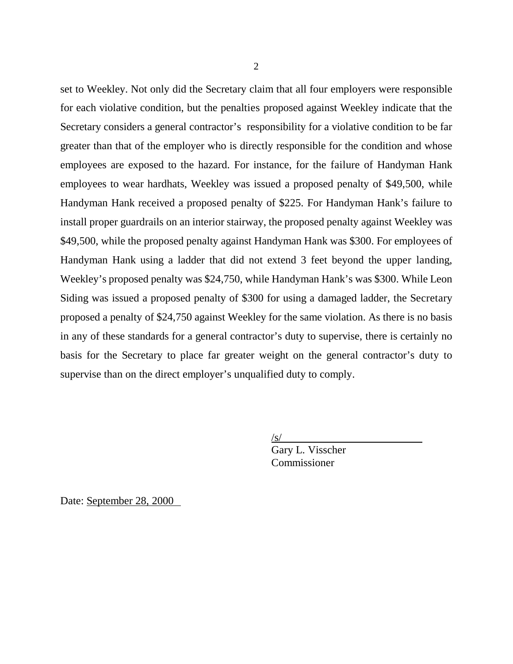set to Weekley. Not only did the Secretary claim that all four employers were responsible for each violative condition, but the penalties proposed against Weekley indicate that the Secretary considers a general contractor's responsibility for a violative condition to be far greater than that of the employer who is directly responsible for the condition and whose employees are exposed to the hazard. For instance, for the failure of Handyman Hank employees to wear hardhats, Weekley was issued a proposed penalty of \$49,500, while Handyman Hank received a proposed penalty of \$225. For Handyman Hank's failure to install proper guardrails on an interior stairway, the proposed penalty against Weekley was \$49,500, while the proposed penalty against Handyman Hank was \$300. For employees of Handyman Hank using a ladder that did not extend 3 feet beyond the upper landing, Weekley's proposed penalty was \$24,750, while Handyman Hank's was \$300. While Leon Siding was issued a proposed penalty of \$300 for using a damaged ladder, the Secretary proposed a penalty of \$24,750 against Weekley for the same violation. As there is no basis in any of these standards for a general contractor's duty to supervise, there is certainly no basis for the Secretary to place far greater weight on the general contractor's duty to supervise than on the direct employer's unqualified duty to comply.

 $\sqrt{s/}$ 

Gary L. Visscher Commissioner

Date: September 28, 2000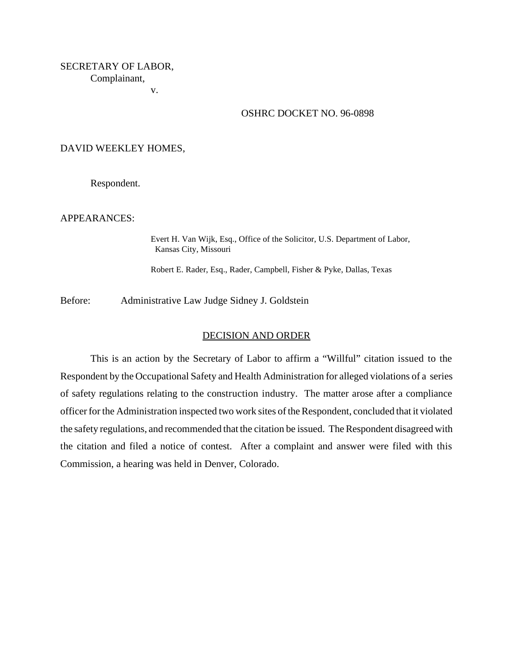# SECRETARY OF LABOR, Complainant,

v.

#### OSHRC DOCKET NO. 96-0898

#### DAVID WEEKLEY HOMES,

Respondent.

APPEARANCES:

Evert H. Van Wijk, Esq., Office of the Solicitor, U.S. Department of Labor, Kansas City, Missouri

Robert E. Rader, Esq., Rader, Campbell, Fisher & Pyke, Dallas, Texas

Before: Administrative Law Judge Sidney J. Goldstein

#### DECISION AND ORDER

This is an action by the Secretary of Labor to affirm a "Willful" citation issued to the Respondent by the Occupational Safety and Health Administration for alleged violations of a series of safety regulations relating to the construction industry. The matter arose after a compliance officer for the Administration inspected two work sites of the Respondent, concluded that it violated the safety regulations, and recommended that the citation be issued. The Respondent disagreed with the citation and filed a notice of contest. After a complaint and answer were filed with this Commission, a hearing was held in Denver, Colorado.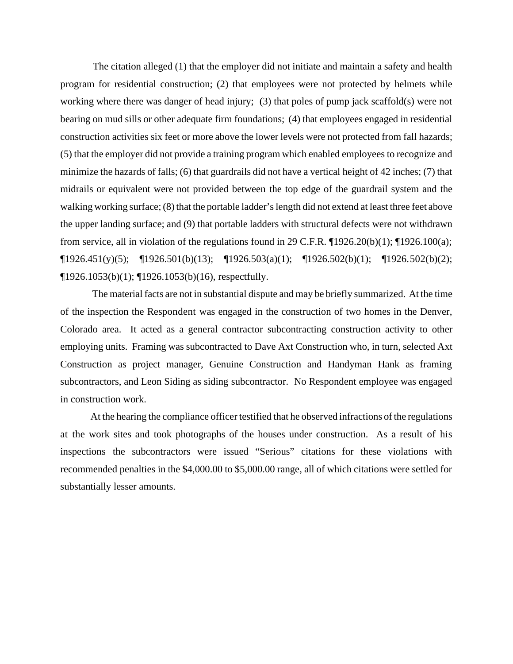The citation alleged (1) that the employer did not initiate and maintain a safety and health program for residential construction; (2) that employees were not protected by helmets while working where there was danger of head injury; (3) that poles of pump jack scaffold(s) were not bearing on mud sills or other adequate firm foundations; (4) that employees engaged in residential construction activities six feet or more above the lower levels were not protected from fall hazards; (5) that the employer did not provide a training program which enabled employees to recognize and minimize the hazards of falls; (6) that guardrails did not have a vertical height of 42 inches; (7) that midrails or equivalent were not provided between the top edge of the guardrail system and the walking working surface; (8) that the portable ladder's length did not extend at least three feet above the upper landing surface; and (9) that portable ladders with structural defects were not withdrawn from service, all in violation of the regulations found in 29 C.F.R.  $\P$ 1926.20(b)(1);  $\P$ 1926.100(a);  $\P$ 1926.451(y)(5);  $\P$ 1926.501(b)(13);  $\P$ 1926.503(a)(1);  $\P$ 1926.502(b)(1);  $\P$ 1926.502(b)(2);  $\P$ 1926.1053(b)(1);  $\P$ 1926.1053(b)(16), respectfully.

 The material facts are not in substantial dispute and may be briefly summarized. At the time of the inspection the Respondent was engaged in the construction of two homes in the Denver, Colorado area. It acted as a general contractor subcontracting construction activity to other employing units. Framing was subcontracted to Dave Axt Construction who, in turn, selected Axt Construction as project manager, Genuine Construction and Handyman Hank as framing subcontractors, and Leon Siding as siding subcontractor. No Respondent employee was engaged in construction work.

At the hearing the compliance officer testified that he observed infractions of the regulations at the work sites and took photographs of the houses under construction. As a result of his inspections the subcontractors were issued "Serious" citations for these violations with recommended penalties in the \$4,000.00 to \$5,000.00 range, all of which citations were settled for substantially lesser amounts.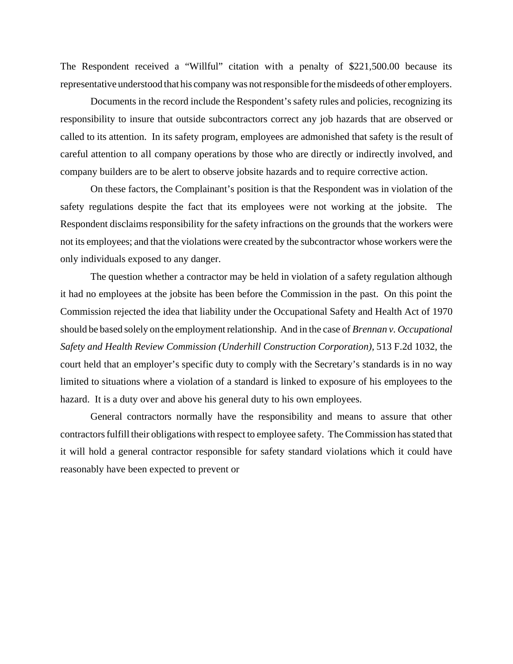The Respondent received a "Willful" citation with a penalty of \$221,500.00 because its representative understood that his company was not responsible for the misdeeds of other employers.

Documents in the record include the Respondent's safety rules and policies, recognizing its responsibility to insure that outside subcontractors correct any job hazards that are observed or called to its attention. In its safety program, employees are admonished that safety is the result of careful attention to all company operations by those who are directly or indirectly involved, and company builders are to be alert to observe jobsite hazards and to require corrective action.

On these factors, the Complainant's position is that the Respondent was in violation of the safety regulations despite the fact that its employees were not working at the jobsite. The Respondent disclaims responsibility for the safety infractions on the grounds that the workers were not its employees; and that the violations were created by the subcontractor whose workers were the only individuals exposed to any danger.

The question whether a contractor may be held in violation of a safety regulation although it had no employees at the jobsite has been before the Commission in the past. On this point the Commission rejected the idea that liability under the Occupational Safety and Health Act of 1970 should be based solely on the employment relationship. And in the case of *Brennan v. Occupational Safety and Health Review Commission (Underhill Construction Corporation),* 513 F.2d 1032, the court held that an employer's specific duty to comply with the Secretary's standards is in no way limited to situations where a violation of a standard is linked to exposure of his employees to the hazard. It is a duty over and above his general duty to his own employees.

General contractors normally have the responsibility and means to assure that other contractors fulfill their obligations with respect to employee safety. The Commission has stated that it will hold a general contractor responsible for safety standard violations which it could have reasonably have been expected to prevent or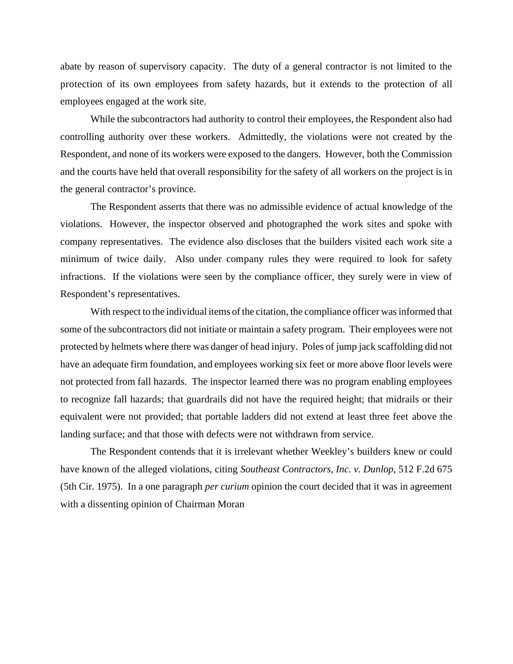abate by reason of supervisory capacity. The duty of a general contractor is not limited to the protection of its own employees from safety hazards, but it extends to the protection of all employees engaged at the work site.

While the subcontractors had authority to control their employees, the Respondent also had controlling authority over these workers. Admittedly, the violations were not created by the Respondent, and none of its workers were exposed to the dangers. However, both the Commission and the courts have held that overall responsibility for the safety of all workers on the project is in the general contractor's province.

The Respondent asserts that there was no admissible evidence of actual knowledge of the violations. However, the inspector observed and photographed the work sites and spoke with company representatives. The evidence also discloses that the builders visited each work site a minimum of twice daily. Also under company rules they were required to look for safety infractions. If the violations were seen by the compliance officer, they surely were in view of Respondent's representatives.

With respect to the individual items of the citation, the compliance officer was informed that some of the subcontractors did not initiate or maintain a safety program. Their employees were not protected by helmets where there was danger of head injury. Poles of jump jack scaffolding did not have an adequate firm foundation, and employees working six feet or more above floor levels were not protected from fall hazards. The inspector learned there was no program enabling employees to recognize fall hazards; that guardrails did not have the required height; that midrails or their equivalent were not provided; that portable ladders did not extend at least three feet above the landing surface; and that those with defects were not withdrawn from service.

The Respondent contends that it is irrelevant whether Weekley's builders knew or could have known of the alleged violations, citing *Southeast Contractors, Inc. v. Dunlop*, 512 F.2d 675 (5th Cir. 1975). In a one paragraph *per curium* opinion the court decided that it was in agreement with a dissenting opinion of Chairman Moran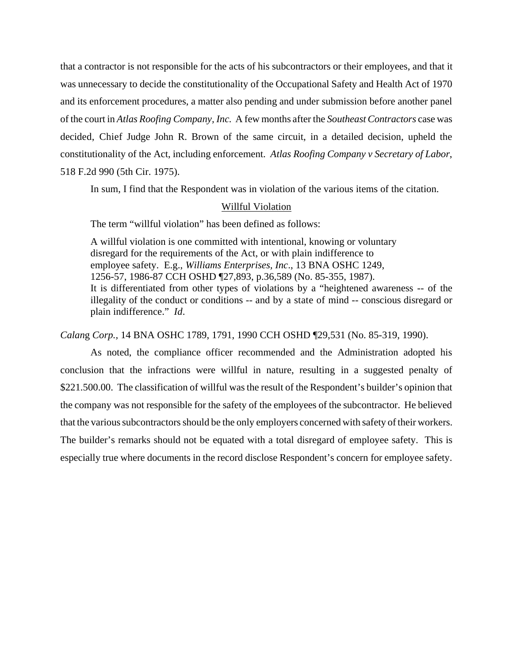that a contractor is not responsible for the acts of his subcontractors or their employees, and that it was unnecessary to decide the constitutionality of the Occupational Safety and Health Act of 1970 and its enforcement procedures, a matter also pending and under submission before another panel of the court in *Atlas Roofing Company, Inc.* A few months after the *Southeast Contractors* case was decided, Chief Judge John R. Brown of the same circuit, in a detailed decision, upheld the constitutionality of the Act, including enforcement. *Atlas Roofing Company v Secretary of Labor*, 518 F.2d 990 (5th Cir. 1975).

In sum, I find that the Respondent was in violation of the various items of the citation.

#### Willful Violation

The term "willful violation" has been defined as follows:

A willful violation is one committed with intentional, knowing or voluntary disregard for the requirements of the Act, or with plain indifference to employee safety. E.g., *Williams Enterprises, Inc*., 13 BNA OSHC 1249, 1256-57, 1986-87 CCH OSHD ¶27,893, p.36,589 (No. 85-355, 1987). It is differentiated from other types of violations by a "heightened awareness -- of the illegality of the conduct or conditions -- and by a state of mind -- conscious disregard or plain indifference." *Id*.

*Calan*g *Corp.,* 14 BNA OSHC 1789, 1791, 1990 CCH OSHD ¶29,531 (No. 85-319, 1990).

As noted, the compliance officer recommended and the Administration adopted his conclusion that the infractions were willful in nature, resulting in a suggested penalty of \$221.500.00. The classification of willful was the result of the Respondent's builder's opinion that the company was not responsible for the safety of the employees of the subcontractor. He believed that the various subcontractors should be the only employers concerned with safety of their workers. The builder's remarks should not be equated with a total disregard of employee safety. This is especially true where documents in the record disclose Respondent's concern for employee safety.